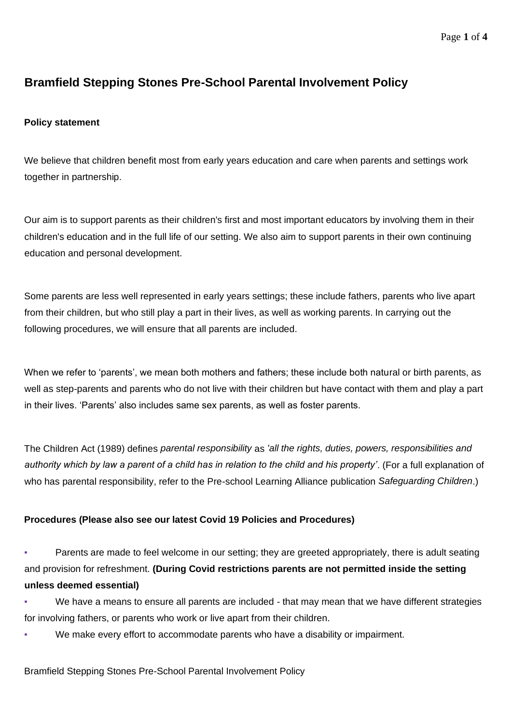#### Page **1** of **4**

# **Bramfield Stepping Stones Pre-School Parental Involvement Policy**

### **Policy statement**

We believe that children benefit most from early years education and care when parents and settings work together in partnership.

Our aim is to support parents as their children's first and most important educators by involving them in their children's education and in the full life of our setting. We also aim to support parents in their own continuing education and personal development.

Some parents are less well represented in early years settings; these include fathers, parents who live apart from their children, but who still play a part in their lives, as well as working parents. In carrying out the following procedures, we will ensure that all parents are included.

When we refer to 'parents', we mean both mothers and fathers; these include both natural or birth parents, as well as step-parents and parents who do not live with their children but have contact with them and play a part in their lives. 'Parents' also includes same sex parents, as well as foster parents.

The Children Act (1989) defines *parental responsibility* as *'all the rights, duties, powers, responsibilities and authority which by law a parent of a child has in relation to the child and his property'*. (For a full explanation of who has parental responsibility, refer to the Pre-school Learning Alliance publication *Safeguarding Children*.)

## **Procedures (Please also see our latest Covid 19 Policies and Procedures)**

**•** Parents are made to feel welcome in our setting; they are greeted appropriately, there is adult seating and provision for refreshment. **(During Covid restrictions parents are not permitted inside the setting unless deemed essential)**

- We have a means to ensure all parents are included that may mean that we have different strategies for involving fathers, or parents who work or live apart from their children.
- We make every effort to accommodate parents who have a disability or impairment.

#### Bramfield Stepping Stones Pre-School Parental Involvement Policy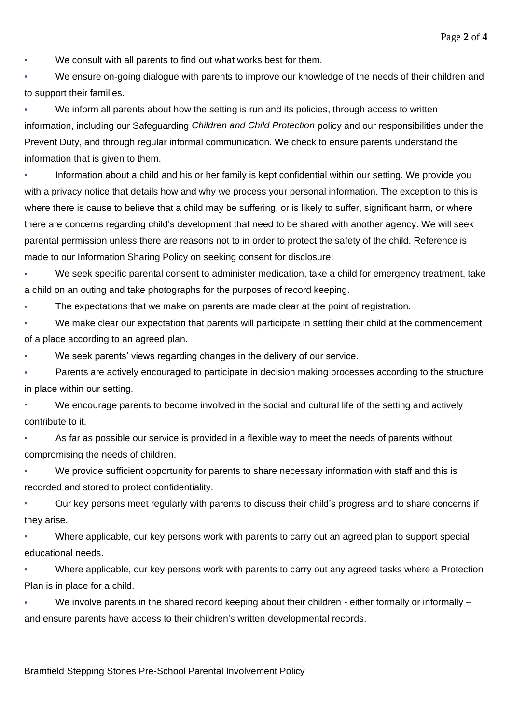Page **2** of **4**

We consult with all parents to find out what works best for them.

We ensure on-going dialogue with parents to improve our knowledge of the needs of their children and to support their families.

We inform all parents about how the setting is run and its policies, through access to written information, including our Safeguarding *Children and Child Protection* policy and our responsibilities under the Prevent Duty, and through regular informal communication. We check to ensure parents understand the information that is given to them.

Information about a child and his or her family is kept confidential within our setting. We provide you with a privacy notice that details how and why we process your personal information. The exception to this is where there is cause to believe that a child may be suffering, or is likely to suffer, significant harm, or where there are concerns regarding child's development that need to be shared with another agency. We will seek parental permission unless there are reasons not to in order to protect the safety of the child. Reference is made to our Information Sharing Policy on seeking consent for disclosure.

We seek specific parental consent to administer medication, take a child for emergency treatment, take a child on an outing and take photographs for the purposes of record keeping.

The expectations that we make on parents are made clear at the point of registration.

We make clear our expectation that parents will participate in settling their child at the commencement of a place according to an agreed plan.

We seek parents' views regarding changes in the delivery of our service.

Parents are actively encouraged to participate in decision making processes according to the structure in place within our setting.

We encourage parents to become involved in the social and cultural life of the setting and actively contribute to it.

As far as possible our service is provided in a flexible way to meet the needs of parents without compromising the needs of children.

We provide sufficient opportunity for parents to share necessary information with staff and this is recorded and stored to protect confidentiality.

Our key persons meet regularly with parents to discuss their child's progress and to share concerns if they arise.

Where applicable, our key persons work with parents to carry out an agreed plan to support special educational needs.

Where applicable, our key persons work with parents to carry out any agreed tasks where a Protection Plan is in place for a child.

We involve parents in the shared record keeping about their children - either formally or informally – and ensure parents have access to their children's written developmental records.

Bramfield Stepping Stones Pre-School Parental Involvement Policy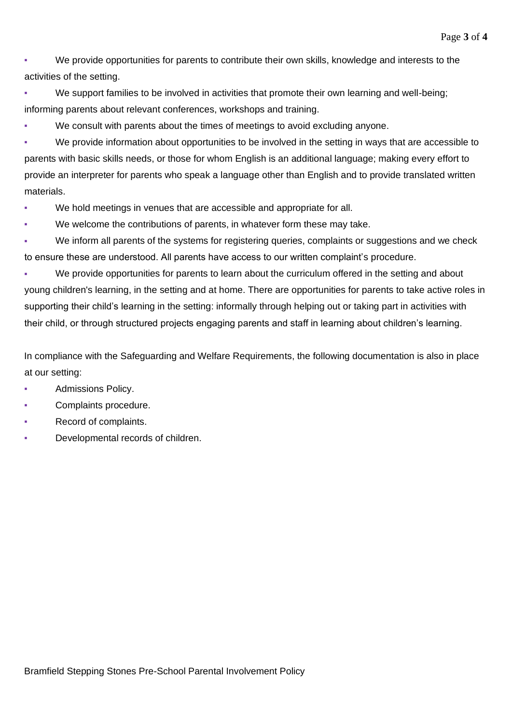We provide opportunities for parents to contribute their own skills, knowledge and interests to the activities of the setting.

We support families to be involved in activities that promote their own learning and well-being; informing parents about relevant conferences, workshops and training.

We consult with parents about the times of meetings to avoid excluding anyone.

We provide information about opportunities to be involved in the setting in ways that are accessible to parents with basic skills needs, or those for whom English is an additional language; making every effort to provide an interpreter for parents who speak a language other than English and to provide translated written materials.

- We hold meetings in venues that are accessible and appropriate for all.
- We welcome the contributions of parents, in whatever form these may take.

We inform all parents of the systems for registering queries, complaints or suggestions and we check to ensure these are understood. All parents have access to our written complaint's procedure.

We provide opportunities for parents to learn about the curriculum offered in the setting and about young children's learning, in the setting and at home. There are opportunities for parents to take active roles in supporting their child's learning in the setting: informally through helping out or taking part in activities with their child, or through structured projects engaging parents and staff in learning about children's learning.

In compliance with the Safeguarding and Welfare Requirements, the following documentation is also in place at our setting:

- Admissions Policy.
- Complaints procedure.
- Record of complaints.
- Developmental records of children.